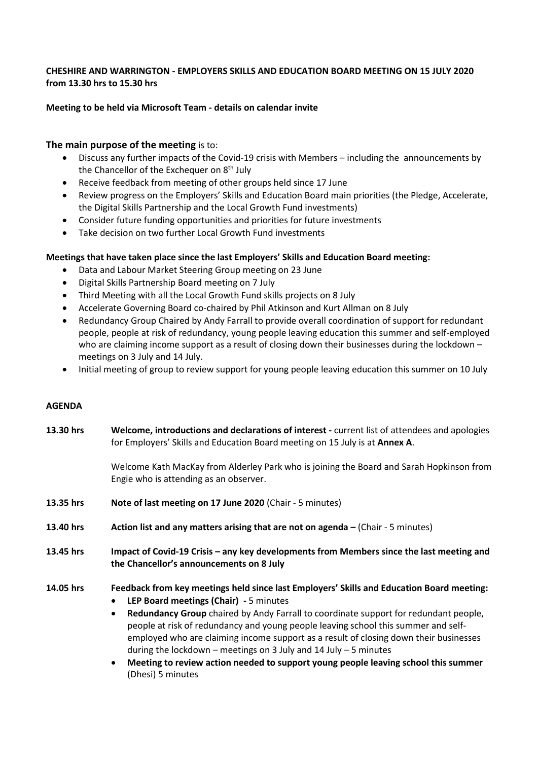## **CHESHIRE AND WARRINGTON - EMPLOYERS SKILLS AND EDUCATION BOARD MEETING ON 15 JULY 2020 from 13.30 hrs to 15.30 hrs**

## **Meeting to be held via Microsoft Team - details on calendar invite**

## **The main purpose of the meeting** is to:

- Discuss any further impacts of the Covid-19 crisis with Members including the announcements by the Chancellor of the Exchequer on 8<sup>th</sup> July
- Receive feedback from meeting of other groups held since 17 June
- Review progress on the Employers' Skills and Education Board main priorities (the Pledge, Accelerate, the Digital Skills Partnership and the Local Growth Fund investments)
- Consider future funding opportunities and priorities for future investments
- Take decision on two further Local Growth Fund investments

## **Meetings that have taken place since the last Employers' Skills and Education Board meeting:**

- Data and Labour Market Steering Group meeting on 23 June
- Digital Skills Partnership Board meeting on 7 July
- Third Meeting with all the Local Growth Fund skills projects on 8 July
- Accelerate Governing Board co-chaired by Phil Atkinson and Kurt Allman on 8 July
- Redundancy Group Chaired by Andy Farrall to provide overall coordination of support for redundant people, people at risk of redundancy, young people leaving education this summer and self-employed who are claiming income support as a result of closing down their businesses during the lockdown meetings on 3 July and 14 July.
- Initial meeting of group to review support for young people leaving education this summer on 10 July

#### **AGENDA**

| 13.30 hrs | Welcome, introductions and declarations of interest - current list of attendees and apologies<br>for Employers' Skills and Education Board meeting on 15 July is at Annex A.                                                                                                                                                                                                                                                         |
|-----------|--------------------------------------------------------------------------------------------------------------------------------------------------------------------------------------------------------------------------------------------------------------------------------------------------------------------------------------------------------------------------------------------------------------------------------------|
|           | Welcome Kath MacKay from Alderley Park who is joining the Board and Sarah Hopkinson from<br>Engie who is attending as an observer.                                                                                                                                                                                                                                                                                                   |
| 13.35 hrs | Note of last meeting on 17 June 2020 (Chair - 5 minutes)                                                                                                                                                                                                                                                                                                                                                                             |
| 13.40 hrs | Action list and any matters arising that are not on agenda – (Chair - 5 minutes)                                                                                                                                                                                                                                                                                                                                                     |
| 13.45 hrs | Impact of Covid-19 Crisis - any key developments from Members since the last meeting and<br>the Chancellor's announcements on 8 July                                                                                                                                                                                                                                                                                                 |
| 14.05 hrs | Feedback from key meetings held since last Employers' Skills and Education Board meeting:<br>LEP Board meetings (Chair) - 5 minutes<br>$\bullet$<br>Redundancy Group chaired by Andy Farrall to coordinate support for redundant people,<br>$\bullet$<br>people at risk of redundancy and young people leaving school this summer and self-<br>employed who are claiming income support as a result of closing down their businesses |

during the lockdown – meetings on 3 July and 14 July – 5 minutes

• **Meeting to review action needed to support young people leaving school this summer** (Dhesi) 5 minutes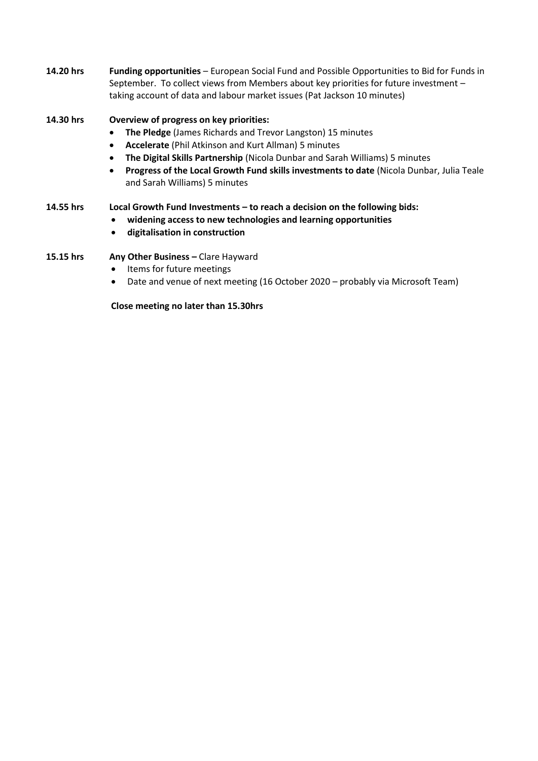**14.20 hrs Funding opportunities** – European Social Fund and Possible Opportunities to Bid for Funds in September. To collect views from Members about key priorities for future investment – taking account of data and labour market issues (Pat Jackson 10 minutes)

## **14.30 hrs Overview of progress on key priorities:**

- **The Pledge** (James Richards and Trevor Langston) 15 minutes
- **Accelerate** (Phil Atkinson and Kurt Allman) 5 minutes
- **The Digital Skills Partnership** (Nicola Dunbar and Sarah Williams) 5 minutes
- **Progress of the Local Growth Fund skills investments to date** (Nicola Dunbar, Julia Teale and Sarah Williams) 5 minutes

#### **14.55 hrs Local Growth Fund Investments – to reach a decision on the following bids:**

- **widening access to new technologies and learning opportunities**
- **digitalisation in construction**

## **15.15 hrs Any Other Business –** Clare Hayward

- Items for future meetings
- Date and venue of next meeting (16 October 2020 probably via Microsoft Team)

**Close meeting no later than 15.30hrs**